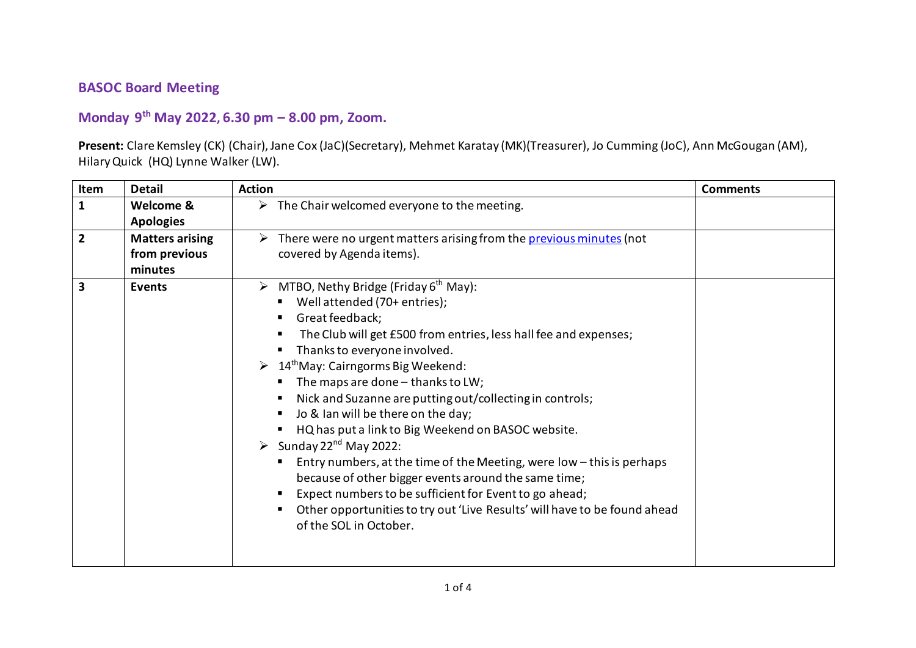## **BASOC Board Meeting**

## **Monday 9 th May 2022, 6.30 pm – 8.00 pm, Zoom.**

**Present:** Clare Kemsley (CK) (Chair),Jane Cox (JaC)(Secretary), Mehmet Karatay (MK)(Treasurer), Jo Cumming (JoC), Ann McGougan (AM), Hilary Quick (HQ) Lynne Walker (LW).

| Item                    | <b>Detail</b>                                      | <b>Action</b>                                                                                                                                                                                                                                                                                                                                                                                                                                                                                                                                                                                                                                                                                                                                                                                                                                     | <b>Comments</b> |
|-------------------------|----------------------------------------------------|---------------------------------------------------------------------------------------------------------------------------------------------------------------------------------------------------------------------------------------------------------------------------------------------------------------------------------------------------------------------------------------------------------------------------------------------------------------------------------------------------------------------------------------------------------------------------------------------------------------------------------------------------------------------------------------------------------------------------------------------------------------------------------------------------------------------------------------------------|-----------------|
| $\mathbf{1}$            | Welcome &<br><b>Apologies</b>                      | $\triangleright$ The Chair welcomed everyone to the meeting.                                                                                                                                                                                                                                                                                                                                                                                                                                                                                                                                                                                                                                                                                                                                                                                      |                 |
| $\overline{2}$          | <b>Matters arising</b><br>from previous<br>minutes | $\triangleright$ There were no urgent matters arising from the previous minutes (not<br>covered by Agenda items).                                                                                                                                                                                                                                                                                                                                                                                                                                                                                                                                                                                                                                                                                                                                 |                 |
| $\overline{\mathbf{3}}$ | <b>Events</b>                                      | $\triangleright$ MTBO, Nethy Bridge (Friday 6 <sup>th</sup> May):<br>Well attended (70+ entries);<br>Great feedback;<br>The Club will get £500 from entries, less hall fee and expenses;<br>Thanks to everyone involved.<br>$\triangleright$ 14 <sup>th</sup> May: Cairngorms Big Weekend:<br>The maps are done $-$ thanks to LW;<br>Nick and Suzanne are putting out/collecting in controls;<br>Jo & Ian will be there on the day;<br>HQ has put a link to Big Weekend on BASOC website.<br>$\triangleright$ Sunday 22 <sup>nd</sup> May 2022:<br>Entry numbers, at the time of the Meeting, were low - this is perhaps<br>because of other bigger events around the same time;<br>Expect numbers to be sufficient for Event to go ahead;<br>Other opportunities to try out 'Live Results' will have to be found ahead<br>of the SOL in October. |                 |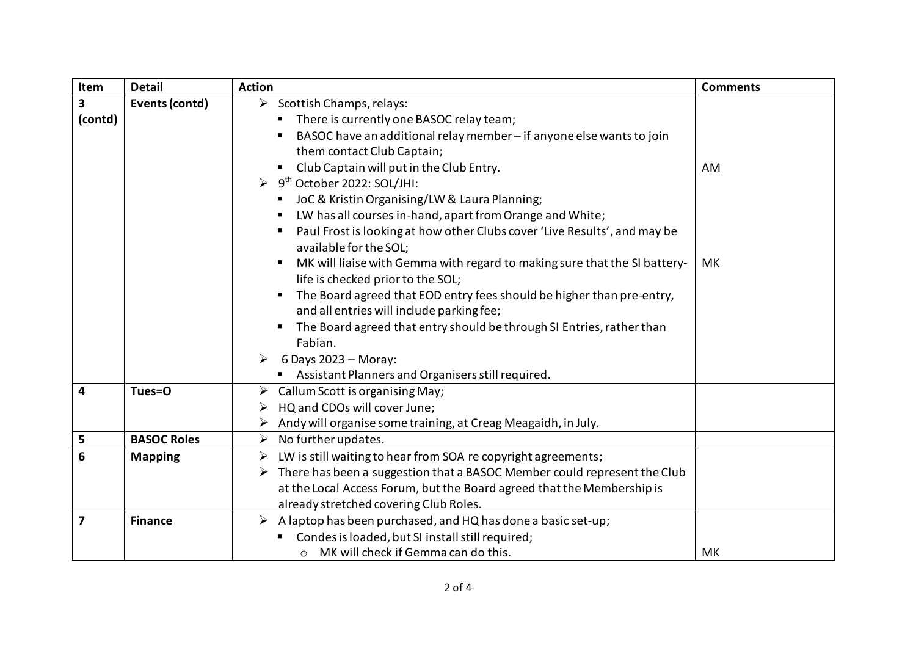| Item                    | <b>Detail</b>      | <b>Action</b>                                                                                       | <b>Comments</b> |
|-------------------------|--------------------|-----------------------------------------------------------------------------------------------------|-----------------|
| 3                       | Events (contd)     | $\triangleright$ Scottish Champs, relays:                                                           |                 |
| (contd)                 |                    | There is currently one BASOC relay team;                                                            |                 |
|                         |                    | BASOC have an additional relay member - if anyone else wants to join                                |                 |
|                         |                    | them contact Club Captain;                                                                          |                 |
|                         |                    | Club Captain will put in the Club Entry.<br>$\blacksquare$                                          | AM              |
|                         |                    | 9 <sup>th</sup> October 2022: SOL/JHI:                                                              |                 |
|                         |                    | JoC & Kristin Organising/LW & Laura Planning;                                                       |                 |
|                         |                    | LW has all courses in-hand, apart from Orange and White;                                            |                 |
|                         |                    | Paul Frost is looking at how other Clubs cover 'Live Results', and may be<br>available for the SOL; |                 |
|                         |                    | MK will liaise with Gemma with regard to making sure that the SI battery-                           | MK              |
|                         |                    | life is checked prior to the SOL;                                                                   |                 |
|                         |                    | The Board agreed that EOD entry fees should be higher than pre-entry,<br>$\blacksquare$             |                 |
|                         |                    | and all entries will include parking fee;                                                           |                 |
|                         |                    | The Board agreed that entry should be through SI Entries, rather than                               |                 |
|                         |                    | Fabian.                                                                                             |                 |
|                         |                    | $\triangleright$ 6 Days 2023 – Moray:                                                               |                 |
|                         |                    | Assistant Planners and Organisers still required.                                                   |                 |
| 4                       | Tues=O             | $\triangleright$ Callum Scott is organising May;                                                    |                 |
|                         |                    | HQ and CDOs will cover June;                                                                        |                 |
|                         |                    | Andy will organise some training, at Creag Meagaidh, in July.                                       |                 |
| 5                       | <b>BASOC Roles</b> | $\triangleright$ No further updates.                                                                |                 |
| 6                       | <b>Mapping</b>     | LW is still waiting to hear from SOA re copyright agreements;<br>➤                                  |                 |
|                         |                    | There has been a suggestion that a BASOC Member could represent the Club<br>➤                       |                 |
|                         |                    | at the Local Access Forum, but the Board agreed that the Membership is                              |                 |
|                         |                    | already stretched covering Club Roles.                                                              |                 |
| $\overline{\mathbf{z}}$ | <b>Finance</b>     | $\triangleright$ A laptop has been purchased, and HQ has done a basic set-up;                       |                 |
|                         |                    | Condes is loaded, but SI install still required;                                                    |                 |
|                         |                    | MK will check if Gemma can do this.<br>$\circ$                                                      | МK              |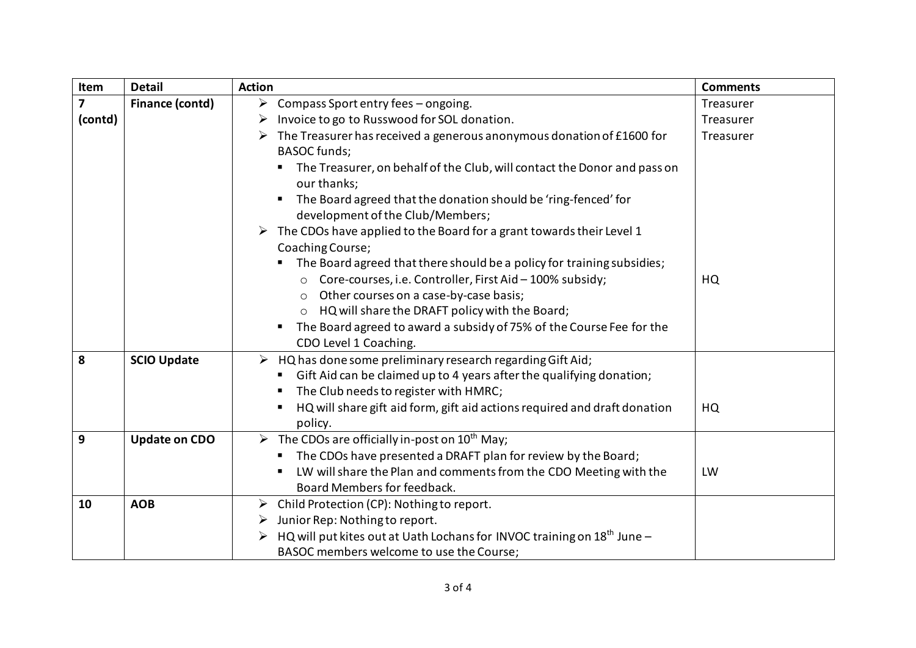| Item                    | <b>Detail</b>          | <b>Action</b>                                                                                                      | <b>Comments</b> |
|-------------------------|------------------------|--------------------------------------------------------------------------------------------------------------------|-----------------|
| $\overline{\mathbf{z}}$ | <b>Finance (contd)</b> | Compass Sport entry fees - ongoing.<br>$\blacktriangleright$                                                       | Treasurer       |
| (contd)                 |                        | Invoice to go to Russwood for SOL donation.<br>➤                                                                   | Treasurer       |
|                         |                        | The Treasurer has received a generous anonymous donation of £1600 for<br>➤<br><b>BASOC</b> funds;                  | Treasurer       |
|                         |                        | The Treasurer, on behalf of the Club, will contact the Donor and pass on<br>our thanks;                            |                 |
|                         |                        | The Board agreed that the donation should be 'ring-fenced' for<br>development of the Club/Members;                 |                 |
|                         |                        | The CDOs have applied to the Board for a grant towards their Level 1<br>Coaching Course;                           |                 |
|                         |                        | The Board agreed that there should be a policy for training subsidies;                                             |                 |
|                         |                        | ○ Core-courses, i.e. Controller, First Aid - 100% subsidy;                                                         | HQ              |
|                         |                        | Other courses on a case-by-case basis;<br>$\circ$                                                                  |                 |
|                         |                        | HQ will share the DRAFT policy with the Board;<br>$\circ$                                                          |                 |
|                         |                        | The Board agreed to award a subsidy of 75% of the Course Fee for the<br>٠<br>CDO Level 1 Coaching.                 |                 |
| 8                       | <b>SCIO Update</b>     | $\triangleright$ HQ has done some preliminary research regarding Gift Aid;                                         |                 |
|                         |                        | Gift Aid can be claimed up to 4 years after the qualifying donation;<br>ш<br>The Club needs to register with HMRC; |                 |
|                         |                        | HQ will share gift aid form, gift aid actions required and draft donation<br>٠<br>policy.                          | HQ              |
| 9                       | <b>Update on CDO</b>   | $\triangleright$ The CDOs are officially in-post on 10 <sup>th</sup> May;                                          |                 |
|                         |                        | The CDOs have presented a DRAFT plan for review by the Board;                                                      |                 |
|                         |                        | LW will share the Plan and comments from the CDO Meeting with the                                                  | LW              |
|                         |                        | Board Members for feedback.                                                                                        |                 |
| 10                      | <b>AOB</b>             | Child Protection (CP): Nothing to report.<br>➤                                                                     |                 |
|                         |                        | Junior Rep: Nothing to report.<br>➤                                                                                |                 |
|                         |                        | HQ will put kites out at Uath Lochans for INVOC training on $18th$ June -                                          |                 |
|                         |                        | BASOC members welcome to use the Course;                                                                           |                 |